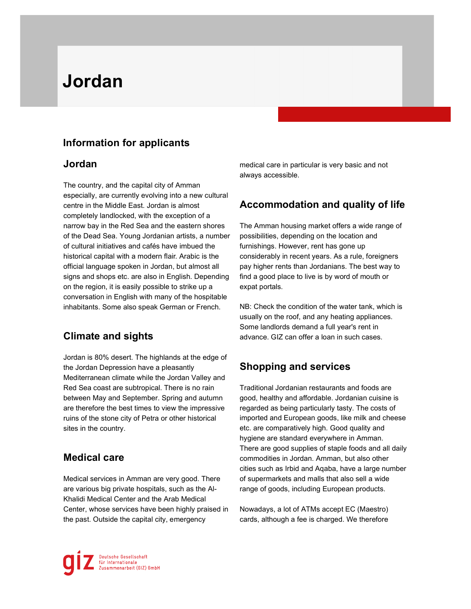# Jordan

# Information for applicants

#### Jordan

The country, and the capital city of Amman especially, are currently evolving into a new cultural centre in the Middle East. Jordan is almost completely landlocked, with the exception of a narrow bay in the Red Sea and the eastern shores of the Dead Sea. Young Jordanian artists, a number of cultural initiatives and cafés have imbued the historical capital with a modern flair. Arabic is the official language spoken in Jordan, but almost all signs and shops etc. are also in English. Depending on the region, it is easily possible to strike up a conversation in English with many of the hospitable inhabitants. Some also speak German or French.

## Climate and sights

 ruins of the stone city of Petra or other historical Jordan is 80% desert. The highlands at the edge of the Jordan Depression have a pleasantly Mediterranean climate while the Jordan Valley and Red Sea coast are subtropical. There is no rain between May and September. Spring and autumn are therefore the best times to view the impressive sites in the country.

#### Medical care

Medical services in Amman are very good. There are various big private hospitals, such as the Al-Khalidi Medical Center and the Arab Medical Center, whose services have been highly praised in the past. Outside the capital city, emergency

medical care in particular is very basic and not always accessible.

## Accommodation and quality of life

The Amman housing market offers a wide range of possibilities, depending on the location and furnishings. However, rent has gone up considerably in recent years. As a rule, foreigners pay higher rents than Jordanians. The best way to find a good place to live is by word of mouth or expat portals.

NB: Check the condition of the water tank, which is usually on the roof, and any heating appliances. Some landlords demand a full year's rent in advance. GIZ can offer a loan in such cases.

## Shopping and services

Traditional Jordanian restaurants and foods are good, healthy and affordable. Jordanian cuisine is regarded as being particularly tasty. The costs of imported and European goods, like milk and cheese etc. are comparatively high. Good quality and hygiene are standard everywhere in Amman. There are good supplies of staple foods and all daily commodities in Jordan. Amman, but also other cities such as Irbid and Aqaba, have a large number of supermarkets and malls that also sell a wide range of goods, including European products.

Nowadays, a lot of ATMs accept EC (Maestro) cards, although a fee is charged. We therefore